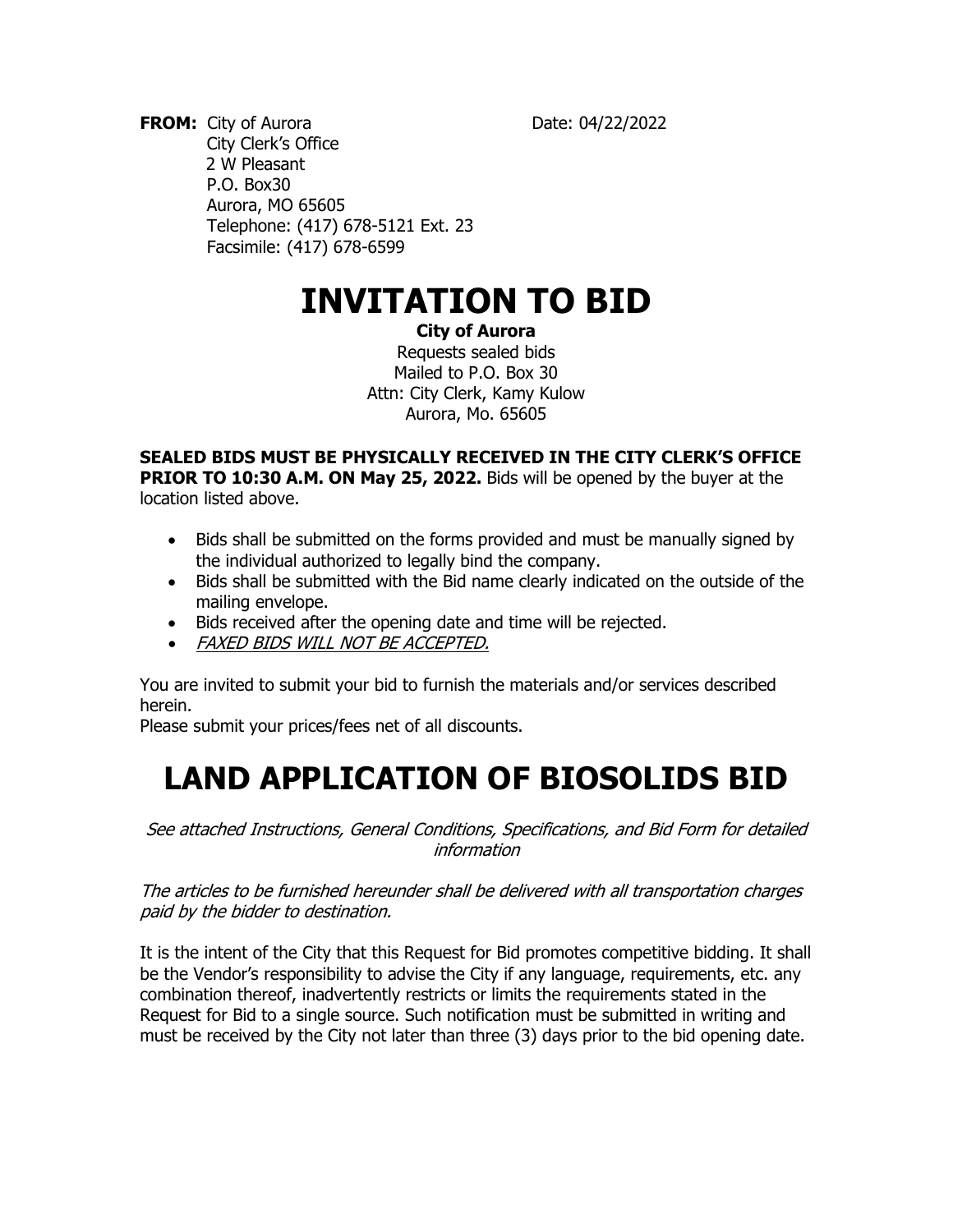**FROM:** City of Aurora Date: 04/22/2022 City Clerk's Office 2 W Pleasant P.O. Box30 Aurora, MO 65605 Telephone: (417) 678-5121 Ext. 23 Facsimile: (417) 678-6599

# **INVITATION TO BID**

#### **City of Aurora**

Requests sealed bids Mailed to P.O. Box 30 Attn: City Clerk, Kamy Kulow Aurora, Mo. 65605

**SEALED BIDS MUST BE PHYSICALLY RECEIVED IN THE CITY CLERK'S OFFICE PRIOR TO 10:30 A.M. ON May 25, 2022.** Bids will be opened by the buyer at the location listed above.

- Bids shall be submitted on the forms provided and must be manually signed by the individual authorized to legally bind the company.
- Bids shall be submitted with the Bid name clearly indicated on the outside of the mailing envelope.
- Bids received after the opening date and time will be rejected.
- FAXED BIDS WILL NOT BE ACCEPTED.

You are invited to submit your bid to furnish the materials and/or services described herein.

Please submit your prices/fees net of all discounts.

# **LAND APPLICATION OF BIOSOLIDS BID**

See attached Instructions, General Conditions, Specifications, and Bid Form for detailed information

The articles to be furnished hereunder shall be delivered with all transportation charges paid by the bidder to destination.

It is the intent of the City that this Request for Bid promotes competitive bidding. It shall be the Vendor's responsibility to advise the City if any language, requirements, etc. any combination thereof, inadvertently restricts or limits the requirements stated in the Request for Bid to a single source. Such notification must be submitted in writing and must be received by the City not later than three (3) days prior to the bid opening date.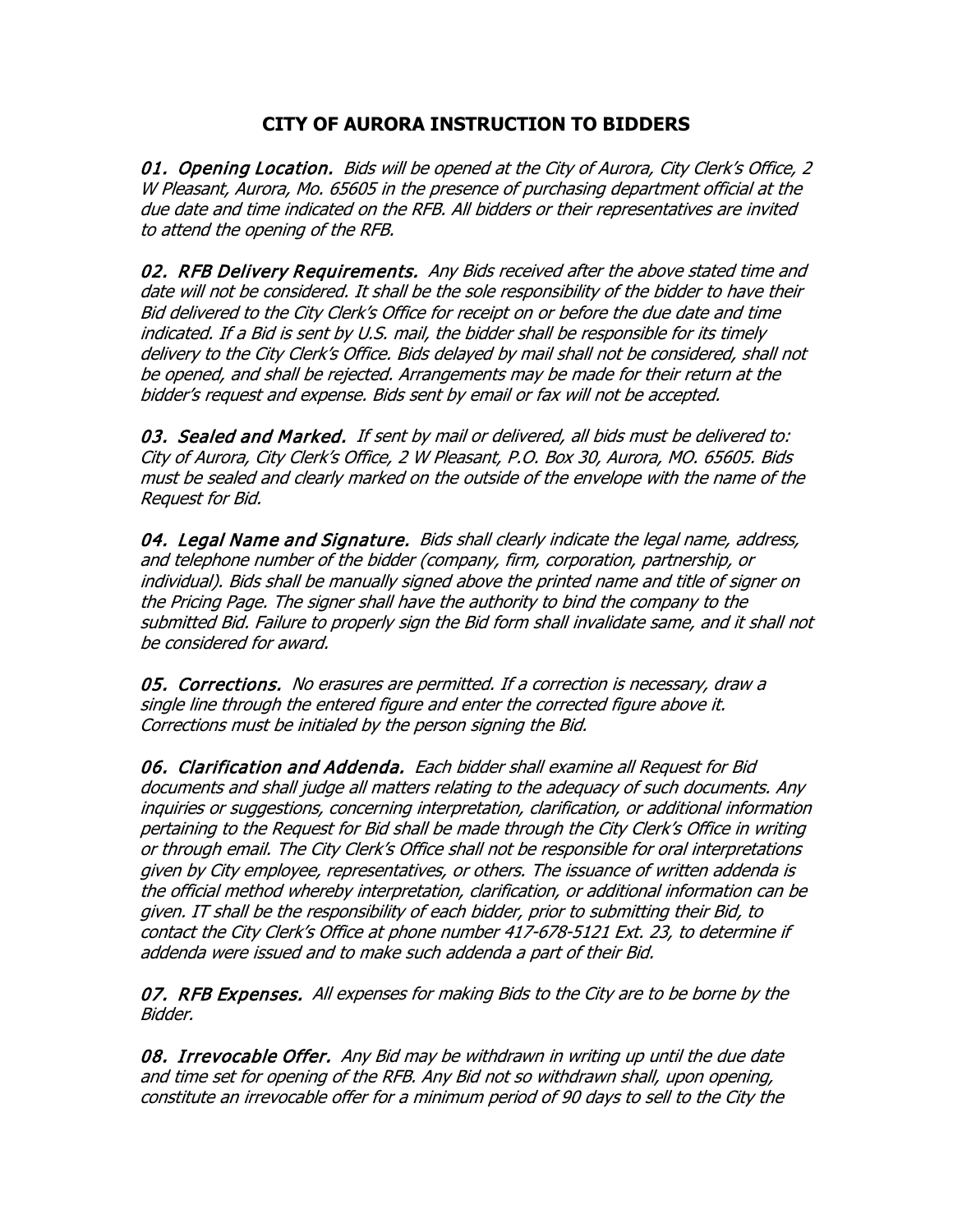# **CITY OF AURORA INSTRUCTION TO BIDDERS**

01. Opening Location. Bids will be opened at the City of Aurora, City Clerk's Office, 2 W Pleasant, Aurora, Mo. 65605 in the presence of purchasing department official at the due date and time indicated on the RFB. All bidders or their representatives are invited to attend the opening of the RFB.

02. RFB Delivery Requirements. Any Bids received after the above stated time and date will not be considered. It shall be the sole responsibility of the bidder to have their Bid delivered to the City Clerk's Office for receipt on or before the due date and time indicated. If a Bid is sent by U.S. mail, the bidder shall be responsible for its timely delivery to the City Clerk's Office. Bids delayed by mail shall not be considered, shall not be opened, and shall be rejected. Arrangements may be made for their return at the bidder's request and expense. Bids sent by email or fax will not be accepted.

03. Sealed and Marked. If sent by mail or delivered, all bids must be delivered to: City of Aurora, City Clerk's Office, 2 W Pleasant, P.O. Box 30, Aurora, MO. 65605. Bids must be sealed and clearly marked on the outside of the envelope with the name of the Request for Bid.

04. Legal Name and Signature. Bids shall clearly indicate the legal name, address, and telephone number of the bidder (company, firm, corporation, partnership, or individual). Bids shall be manually signed above the printed name and title of signer on the Pricing Page. The signer shall have the authority to bind the company to the submitted Bid. Failure to properly sign the Bid form shall invalidate same, and it shall not be considered for award.

05. Corrections. No erasures are permitted. If a correction is necessary, draw a single line through the entered figure and enter the corrected figure above it. Corrections must be initialed by the person signing the Bid.

06. Clarification and Addenda. Each bidder shall examine all Request for Bid documents and shall judge all matters relating to the adequacy of such documents. Any inquiries or suggestions, concerning interpretation, clarification, or additional information pertaining to the Request for Bid shall be made through the City Clerk's Office in writing or through email. The City Clerk's Office shall not be responsible for oral interpretations given by City employee, representatives, or others. The issuance of written addenda is the official method whereby interpretation, clarification, or additional information can be given. IT shall be the responsibility of each bidder, prior to submitting their Bid, to contact the City Clerk's Office at phone number 417-678-5121 Ext. 23, to determine if addenda were issued and to make such addenda a part of their Bid.

07. RFB Expenses. All expenses for making Bids to the City are to be borne by the Bidder.

08. Irrevocable Offer. Any Bid may be withdrawn in writing up until the due date and time set for opening of the RFB. Any Bid not so withdrawn shall, upon opening, constitute an irrevocable offer for a minimum period of 90 days to sell to the City the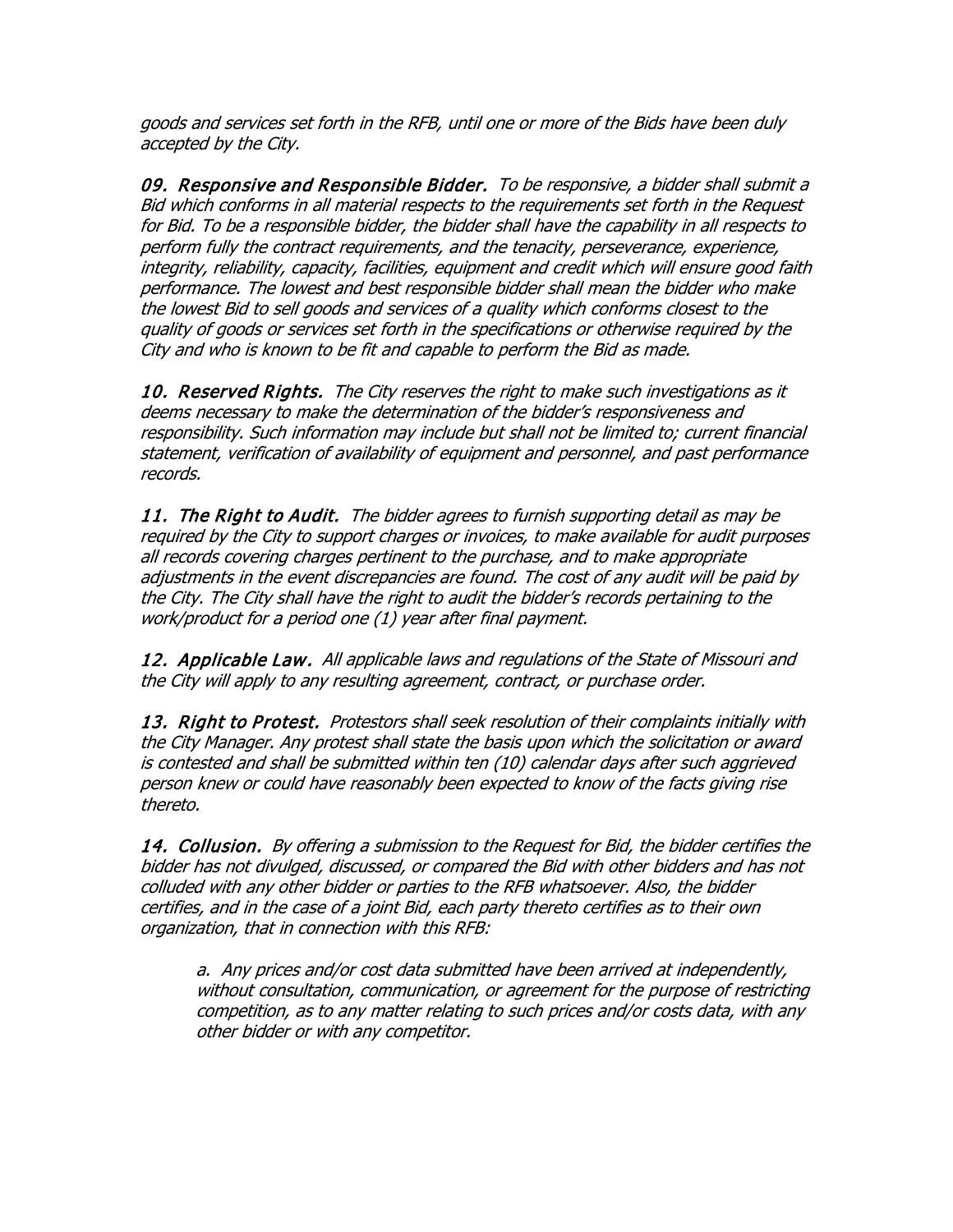goods and services set forth in the RFB, until one or more of the Bids have been duly accepted by the City.

09. Responsive and Responsible Bidder. To be responsive, a bidder shall submit a Bid which conforms in all material respects to the requirements set forth in the Request for Bid. To be a responsible bidder, the bidder shall have the capability in all respects to perform fully the contract requirements, and the tenacity, perseverance, experience, integrity, reliability, capacity, facilities, equipment and credit which will ensure good faith performance. The lowest and best responsible bidder shall mean the bidder who make the lowest Bid to sell goods and services of a quality which conforms closest to the quality of goods or services set forth in the specifications or otherwise required by the City and who is known to be fit and capable to perform the Bid as made.

10. Reserved Rights. The City reserves the right to make such investigations as it deems necessary to make the determination of the bidder's responsiveness and responsibility. Such information may include but shall not be limited to; current financial statement, verification of availability of equipment and personnel, and past performance records.

11. The Right to Audit. The bidder agrees to furnish supporting detail as may be required by the City to support charges or invoices, to make available for audit purposes all records covering charges pertinent to the purchase, and to make appropriate adjustments in the event discrepancies are found. The cost of any audit will be paid by the City. The City shall have the right to audit the bidder's records pertaining to the work/product for a period one (1) year after final payment.

12. Applicable Law. All applicable laws and regulations of the State of Missouri and the City will apply to any resulting agreement, contract, or purchase order.

13. Right to Protest. Protestors shall seek resolution of their complaints initially with the City Manager. Any protest shall state the basis upon which the solicitation or award is contested and shall be submitted within ten (10) calendar days after such aggrieved person knew or could have reasonably been expected to know of the facts giving rise thereto.

14. Collusion. By offering a submission to the Request for Bid, the bidder certifies the bidder has not divulged, discussed, or compared the Bid with other bidders and has not colluded with any other bidder or parties to the RFB whatsoever. Also, the bidder certifies, and in the case of a joint Bid, each party thereto certifies as to their own organization, that in connection with this RFB:

a. Any prices and/or cost data submitted have been arrived at independently, without consultation, communication, or agreement for the purpose of restricting competition, as to any matter relating to such prices and/or costs data, with any other bidder or with any competitor.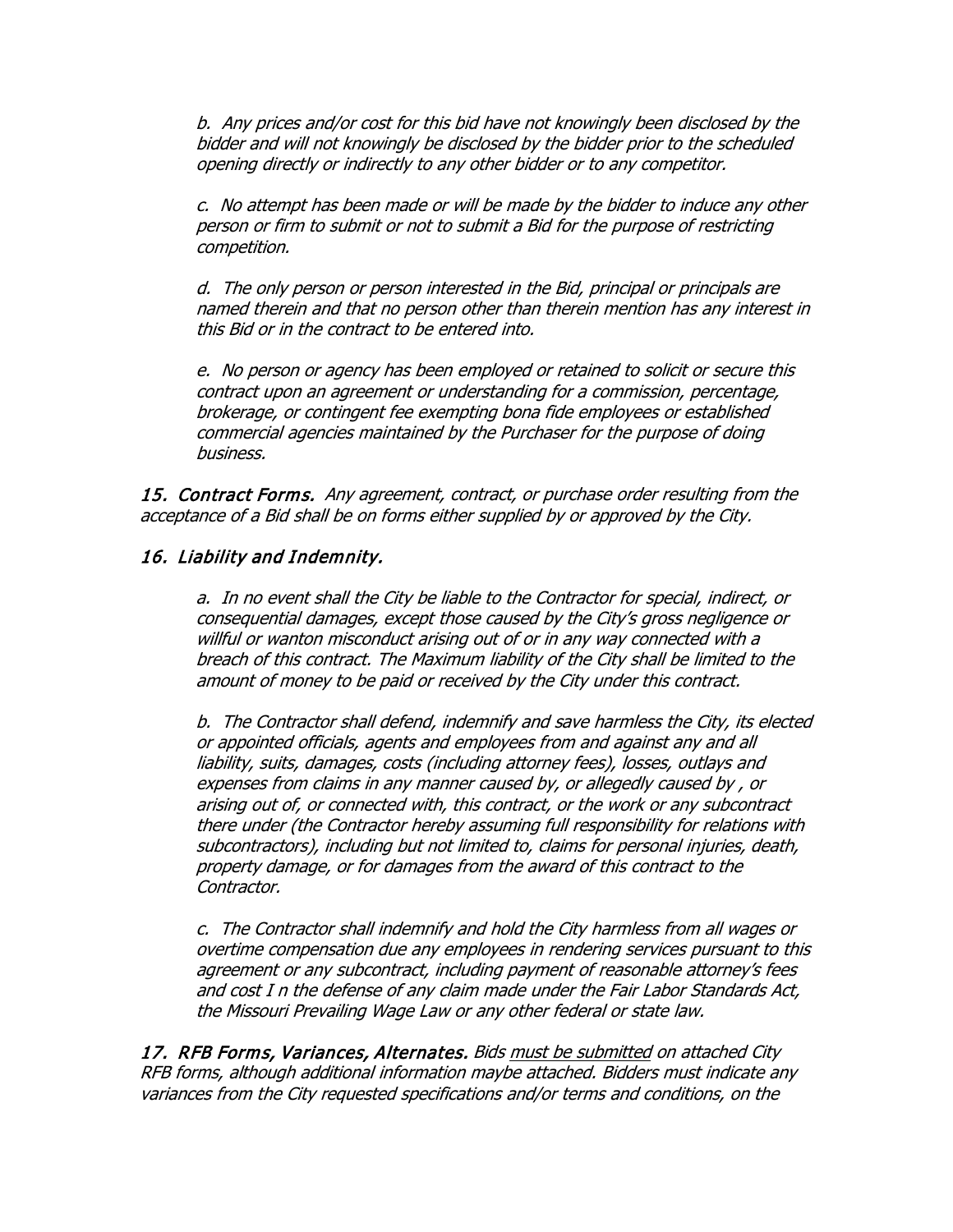b. Any prices and/or cost for this bid have not knowingly been disclosed by the bidder and will not knowingly be disclosed by the bidder prior to the scheduled opening directly or indirectly to any other bidder or to any competitor.

c. No attempt has been made or will be made by the bidder to induce any other person or firm to submit or not to submit a Bid for the purpose of restricting competition.

d. The only person or person interested in the Bid, principal or principals are named therein and that no person other than therein mention has any interest in this Bid or in the contract to be entered into.

e. No person or agency has been employed or retained to solicit or secure this contract upon an agreement or understanding for a commission, percentage, brokerage, or contingent fee exempting bona fide employees or established commercial agencies maintained by the Purchaser for the purpose of doing business.

15. Contract Forms. Any agreement, contract, or purchase order resulting from the acceptance of a Bid shall be on forms either supplied by or approved by the City.

### 16. Liability and Indemnity.

a. In no event shall the City be liable to the Contractor for special, indirect, or consequential damages, except those caused by the City's gross negligence or willful or wanton misconduct arising out of or in any way connected with a breach of this contract. The Maximum liability of the City shall be limited to the amount of money to be paid or received by the City under this contract.

b. The Contractor shall defend, indemnify and save harmless the City, its elected or appointed officials, agents and employees from and against any and all liability, suits, damages, costs (including attorney fees), losses, outlays and expenses from claims in any manner caused by, or allegedly caused by , or arising out of, or connected with, this contract, or the work or any subcontract there under (the Contractor hereby assuming full responsibility for relations with subcontractors), including but not limited to, claims for personal injuries, death, property damage, or for damages from the award of this contract to the Contractor.

c. The Contractor shall indemnify and hold the City harmless from all wages or overtime compensation due any employees in rendering services pursuant to this agreement or any subcontract, including payment of reasonable attorney's fees and cost I n the defense of any claim made under the Fair Labor Standards Act, the Missouri Prevailing Wage Law or any other federal or state law.

17. RFB Forms, Variances, Alternates. Bids must be submitted on attached City RFB forms, although additional information maybe attached. Bidders must indicate any variances from the City requested specifications and/or terms and conditions, on the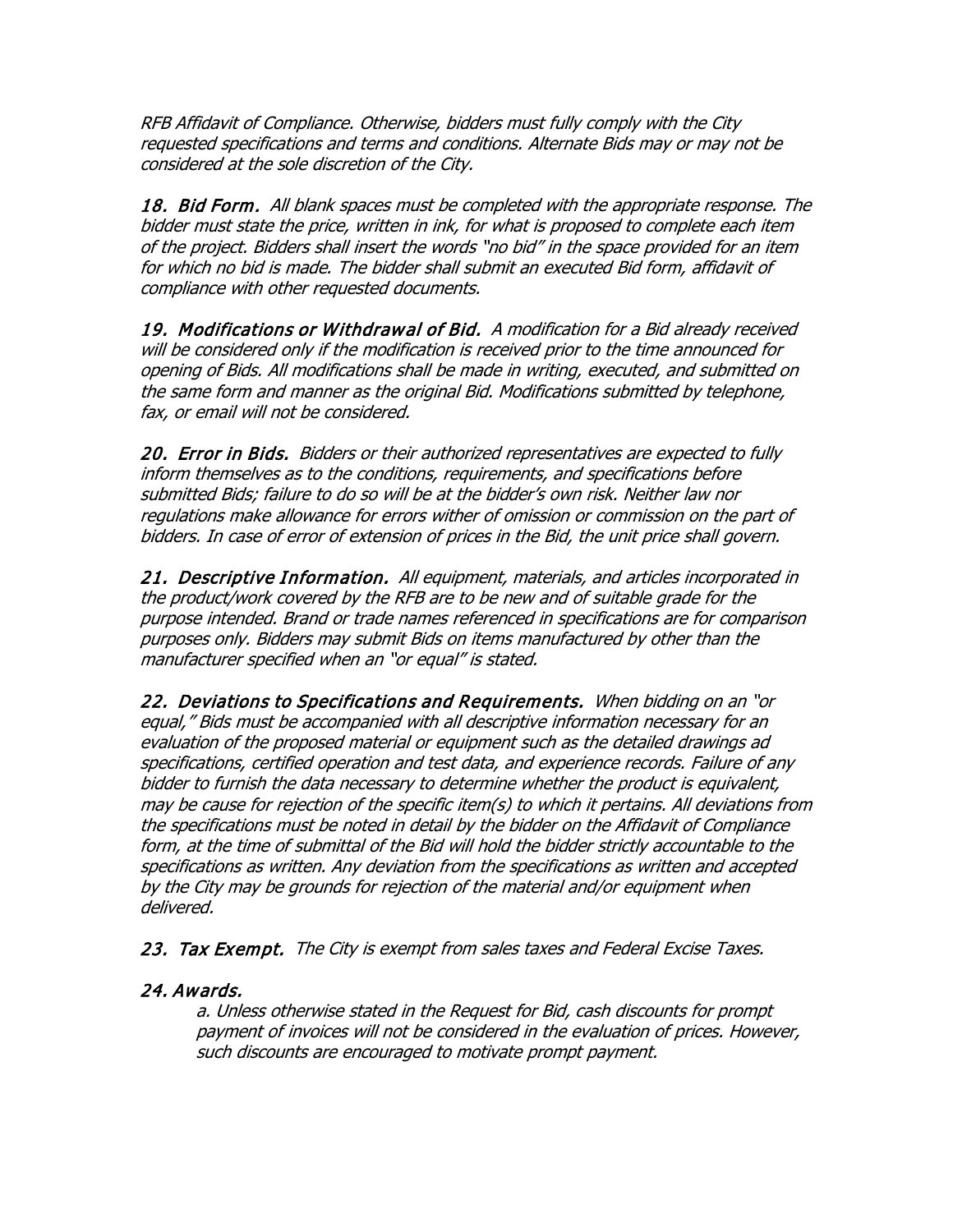RFB Affidavit of Compliance. Otherwise, bidders must fully comply with the City requested specifications and terms and conditions. Alternate Bids may or may not be considered at the sole discretion of the City.

18. Bid Form. All blank spaces must be completed with the appropriate response. The bidder must state the price, written in ink, for what is proposed to complete each item of the project. Bidders shall insert the words "no bid" in the space provided for an item for which no bid is made. The bidder shall submit an executed Bid form, affidavit of compliance with other requested documents.

19. Modifications or Withdrawal of Bid. A modification for a Bid already received will be considered only if the modification is received prior to the time announced for opening of Bids. All modifications shall be made in writing, executed, and submitted on the same form and manner as the original Bid. Modifications submitted by telephone, fax, or email will not be considered.

20. Error in Bids. Bidders or their authorized representatives are expected to fully inform themselves as to the conditions, requirements, and specifications before submitted Bids; failure to do so will be at the bidder's own risk. Neither law nor regulations make allowance for errors wither of omission or commission on the part of bidders. In case of error of extension of prices in the Bid, the unit price shall govern.

21. Descriptive Information. All equipment, materials, and articles incorporated in the product/work covered by the RFB are to be new and of suitable grade for the purpose intended. Brand or trade names referenced in specifications are for comparison purposes only. Bidders may submit Bids on items manufactured by other than the manufacturer specified when an "or equal" is stated.

22. Deviations to Specifications and Requirements. When bidding on an "or equal," Bids must be accompanied with all descriptive information necessary for an evaluation of the proposed material or equipment such as the detailed drawings ad specifications, certified operation and test data, and experience records. Failure of any bidder to furnish the data necessary to determine whether the product is equivalent, may be cause for rejection of the specific item(s) to which it pertains. All deviations from the specifications must be noted in detail by the bidder on the Affidavit of Compliance form, at the time of submittal of the Bid will hold the bidder strictly accountable to the specifications as written. Any deviation from the specifications as written and accepted by the City may be grounds for rejection of the material and/or equipment when delivered.

23. Tax Exempt. The City is exempt from sales taxes and Federal Excise Taxes.

### 24. Awards.

a. Unless otherwise stated in the Request for Bid, cash discounts for prompt payment of invoices will not be considered in the evaluation of prices. However, such discounts are encouraged to motivate prompt payment.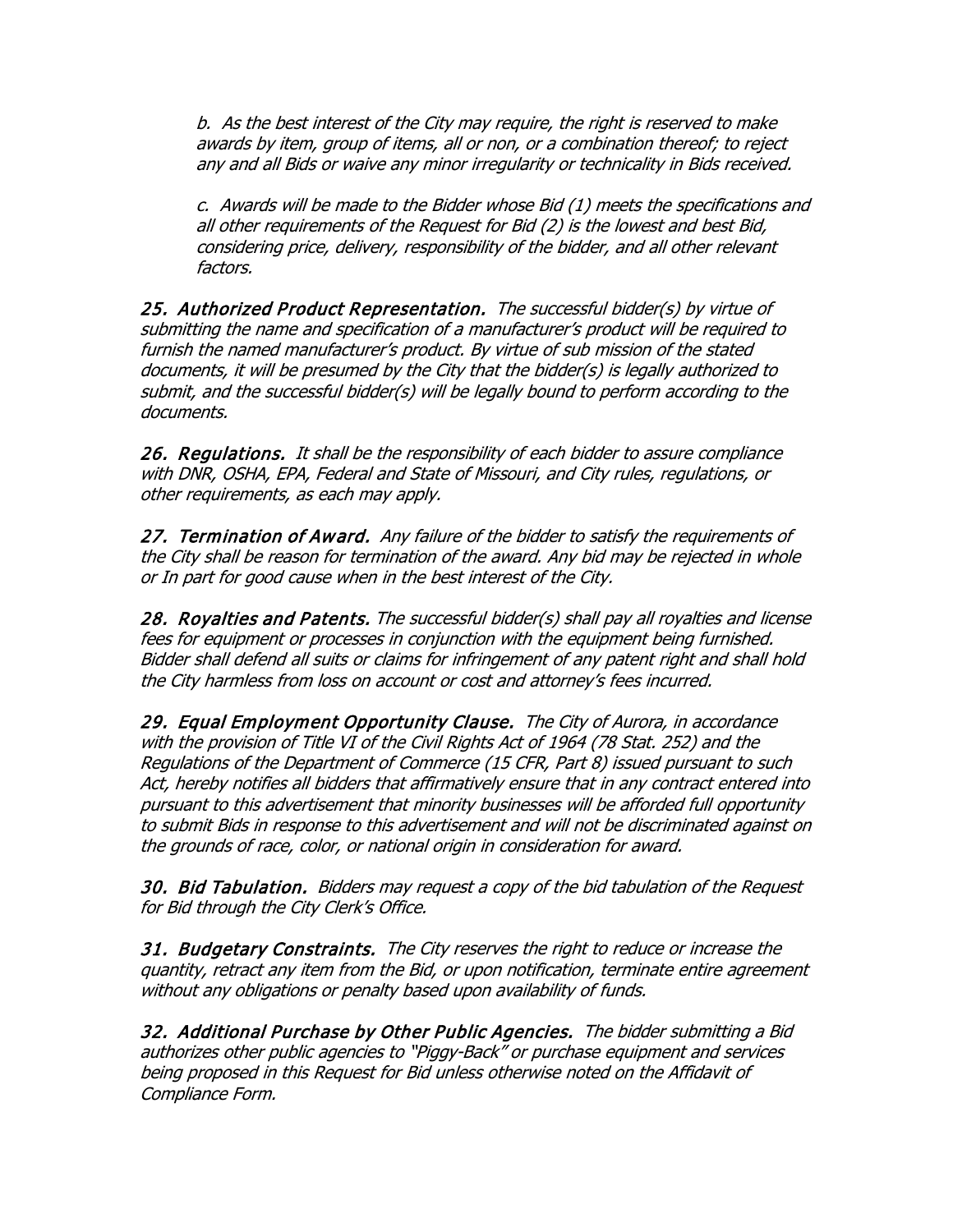b. As the best interest of the City may require, the right is reserved to make awards by item, group of items, all or non, or a combination thereof; to reject any and all Bids or waive any minor irregularity or technicality in Bids received.

c. Awards will be made to the Bidder whose Bid (1) meets the specifications and all other requirements of the Request for Bid (2) is the lowest and best Bid, considering price, delivery, responsibility of the bidder, and all other relevant factors.

25. Authorized Product Representation. The successful bidder(s) by virtue of submitting the name and specification of <sup>a</sup> manufacturer's product will be required to furnish the named manufacturer's product. By virtue of sub mission of the stated documents, it will be presumed by the City that the bidder(s) is legally authorized to submit, and the successful bidder(s) will be legally bound to perform according to the documents.

26. Regulations. It shall be the responsibility of each bidder to assure compliance with DNR, OSHA, EPA, Federal and State of Missouri, and City rules, regulations, or other requirements, as each may apply.

27. Termination of Award. Any failure of the bidder to satisfy the requirements of the City shall be reason for termination of the award. Any bid may be rejected in whole or In part for good cause when in the best interest of the City.

28. Royalties and Patents. The successful bidder(s) shall pay all royalties and license fees for equipment or processes in conjunction with the equipment being furnished. Bidder shall defend all suits or claims for infringement of any patent right and shall hold the City harmless from loss on account or cost and attorney's fees incurred.

29. Equal Employment Opportunity Clause. The City of Aurora, in accordance with the provision of Title VI of the Civil Rights Act of 1964 (78 Stat. 252) and the Regulations of the Department of Commerce (15 CFR, Part 8) issued pursuant to such Act, hereby notifies all bidders that affirmatively ensure that in any contract entered into pursuant to this advertisement that minority businesses will be afforded full opportunity to submit Bids in response to this advertisement and will not be discriminated against on the grounds of race, color, or national origin in consideration for award.

30. Bid Tabulation. Bidders may request a copy of the bid tabulation of the Request for Bid through the City Clerk's Office.

31. Budgetary Constraints. The City reserves the right to reduce or increase the quantity, retract any item from the Bid, or upon notification, terminate entire agreement without any obligations or penalty based upon availability of funds.

32. Additional Purchase by Other Public Agencies. The bidder submitting a Bid authorizes other public agencies to "Piggy-Back" or purchase equipment and services being proposed in this Request for Bid unless otherwise noted on the Affidavit of Compliance Form.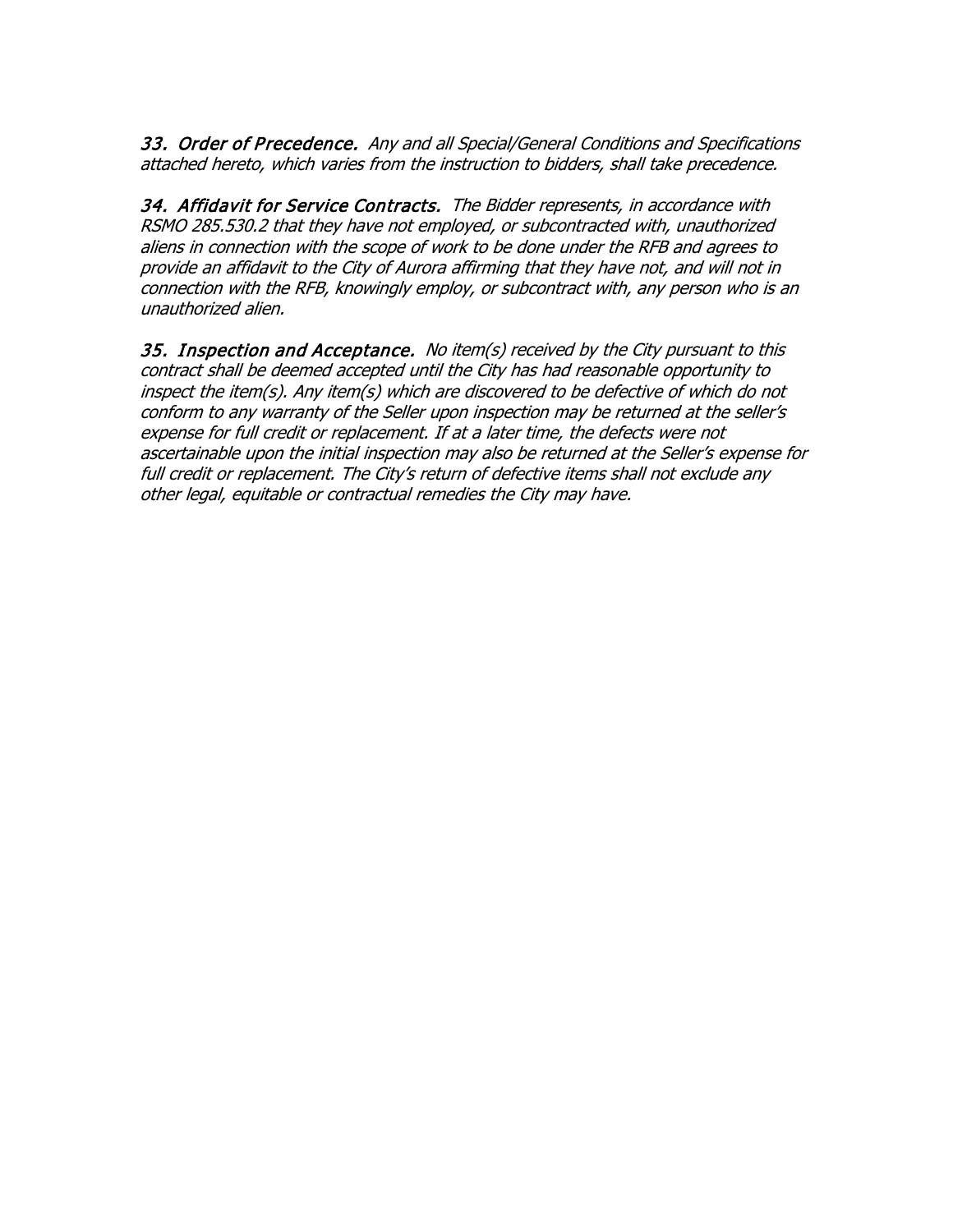33. Order of Precedence. Any and all Special/General Conditions and Specifications attached hereto, which varies from the instruction to bidders, shall take precedence.

34. Affidavit for Service Contracts. The Bidder represents, in accordance with RSMO 285.530.2 that they have not employed, or subcontracted with, unauthorized aliens in connection with the scope of work to be done under the RFB and agrees to provide an affidavit to the City of Aurora affirming that they have not, and will not in connection with the RFB, knowingly employ, or subcontract with, any person who is an unauthorized alien.

35. Inspection and Acceptance. No item(s) received by the City pursuant to this contract shall be deemed accepted until the City has had reasonable opportunity to inspect the item(s). Any item(s) which are discovered to be defective of which do not conform to any warranty of the Seller upon inspection may be returned at the seller's expense for full credit or replacement. If at a later time, the defects were not ascertainable upon the initial inspection may also be returned at the Seller's expense for full credit or replacement. The City's return of defective items shall not exclude any other legal, equitable or contractual remedies the City may have.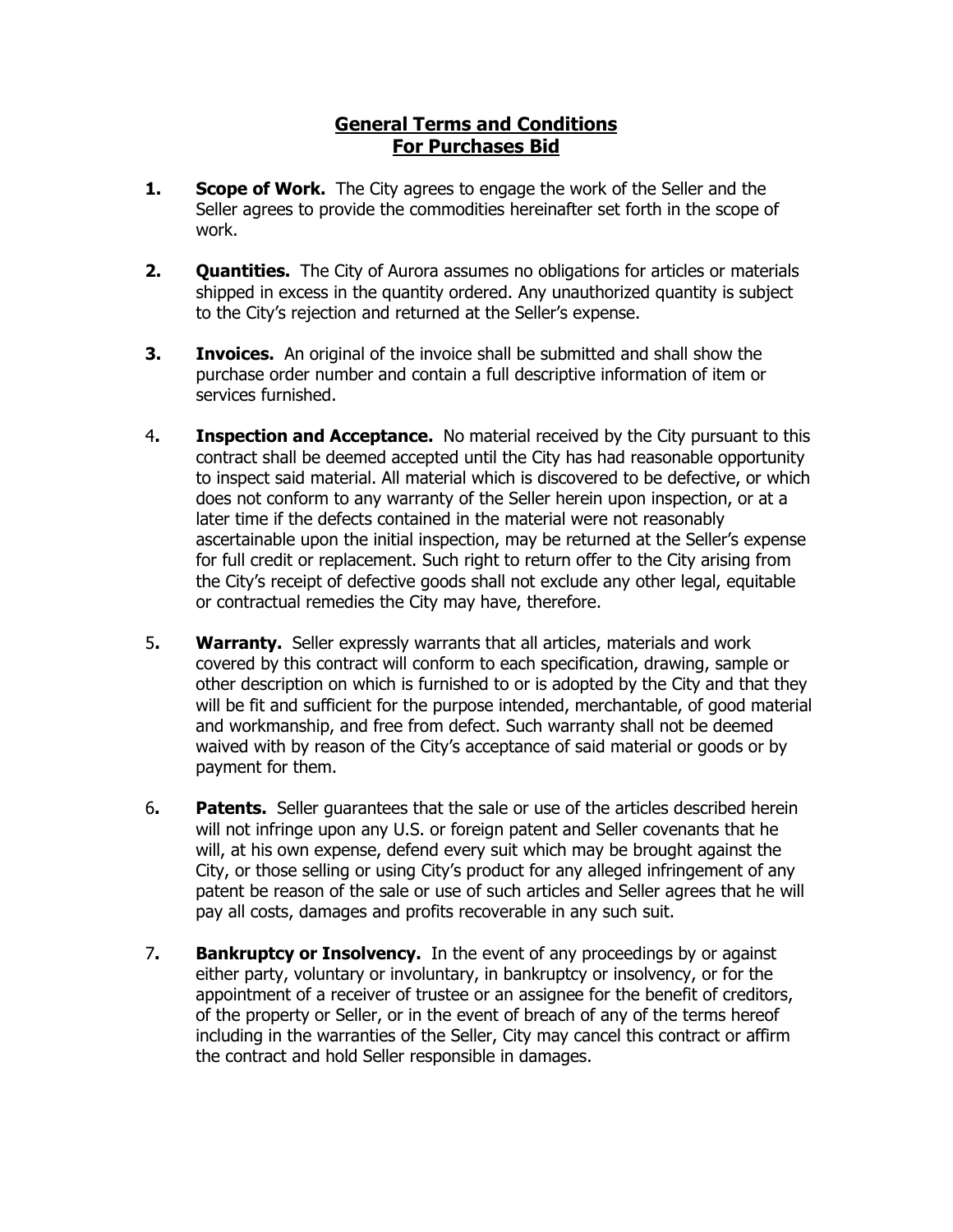## **General Terms and Conditions For Purchases Bid**

- **1.** Scope of Work. The City agrees to engage the work of the Seller and the Seller agrees to provide the commodities hereinafter set forth in the scope of work.
- **2. Quantities.** The City of Aurora assumes no obligations for articles or materials shipped in excess in the quantity ordered. Any unauthorized quantity is subject to the City's rejection and returned at the Seller's expense.
- **3. Invoices.** An original of the invoice shall be submitted and shall show the purchase order number and contain a full descriptive information of item or services furnished.
- 4**. Inspection and Acceptance.** No material received by the City pursuant to this contract shall be deemed accepted until the City has had reasonable opportunity to inspect said material. All material which is discovered to be defective, or which does not conform to any warranty of the Seller herein upon inspection, or at a later time if the defects contained in the material were not reasonably ascertainable upon the initial inspection, may be returned at the Seller's expense for full credit or replacement. Such right to return offer to the City arising from the City's receipt of defective goods shall not exclude any other legal, equitable or contractual remedies the City may have, therefore.
- 5**. Warranty.** Seller expressly warrants that all articles, materials and work covered by this contract will conform to each specification, drawing, sample or other description on which is furnished to or is adopted by the City and that they will be fit and sufficient for the purpose intended, merchantable, of good material and workmanship, and free from defect. Such warranty shall not be deemed waived with by reason of the City's acceptance of said material or goods or by payment for them.
- 6**. Patents.** Seller guarantees that the sale or use of the articles described herein will not infringe upon any U.S. or foreign patent and Seller covenants that he will, at his own expense, defend every suit which may be brought against the City, or those selling or using City's product for any alleged infringement of any patent be reason of the sale or use of such articles and Seller agrees that he will pay all costs, damages and profits recoverable in any such suit.
- 7**. Bankruptcy or Insolvency.** In the event of any proceedings by or against either party, voluntary or involuntary, in bankruptcy or insolvency, or for the appointment of a receiver of trustee or an assignee for the benefit of creditors, of the property or Seller, or in the event of breach of any of the terms hereof including in the warranties of the Seller, City may cancel this contract or affirm the contract and hold Seller responsible in damages.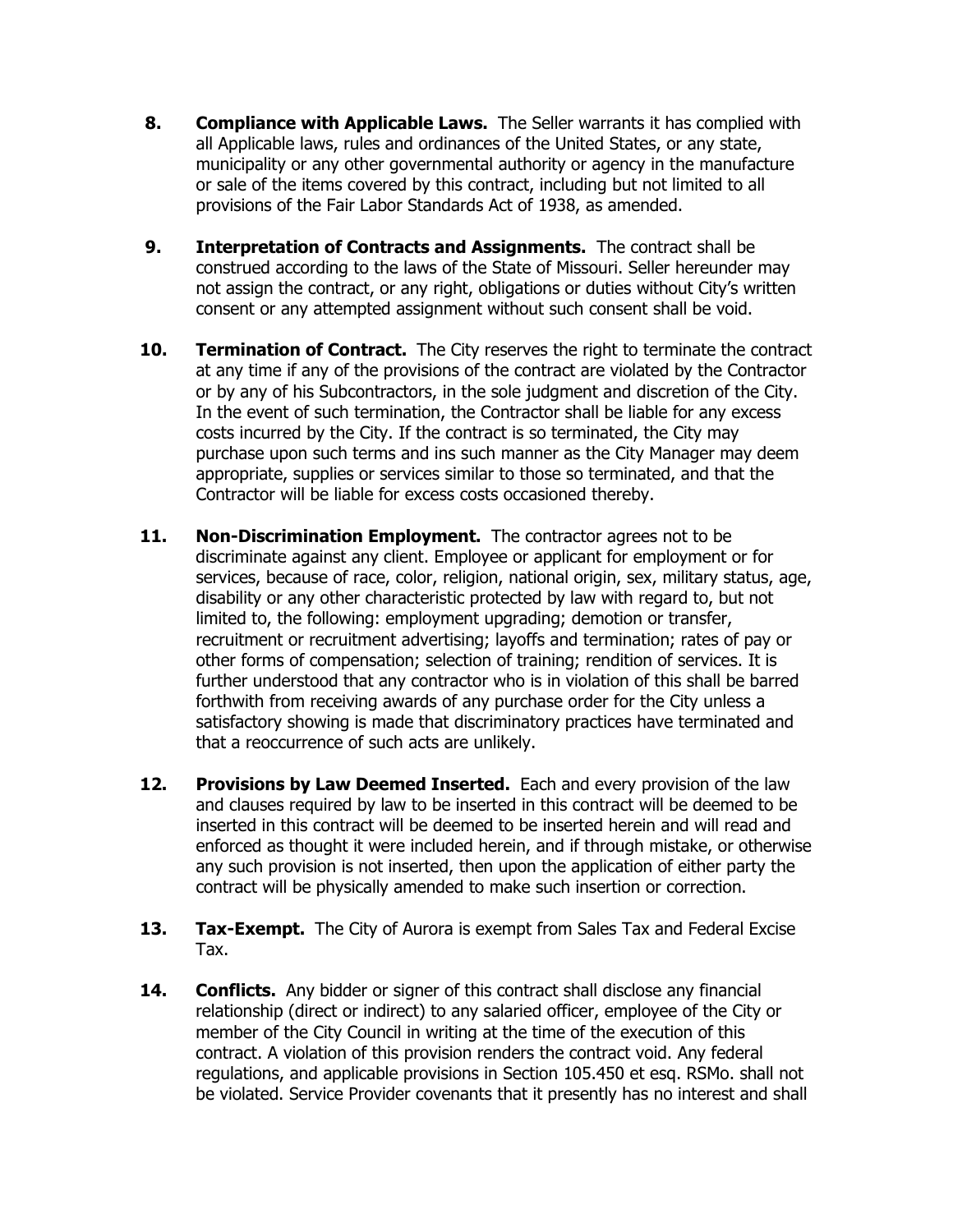- **8. Compliance with Applicable Laws.** The Seller warrants it has complied with all Applicable laws, rules and ordinances of the United States, or any state, municipality or any other governmental authority or agency in the manufacture or sale of the items covered by this contract, including but not limited to all provisions of the Fair Labor Standards Act of 1938, as amended.
- **9. Interpretation of Contracts and Assignments.** The contract shall be construed according to the laws of the State of Missouri. Seller hereunder may not assign the contract, or any right, obligations or duties without City's written consent or any attempted assignment without such consent shall be void.
- **10.** Termination of Contract. The City reserves the right to terminate the contract at any time if any of the provisions of the contract are violated by the Contractor or by any of his Subcontractors, in the sole judgment and discretion of the City. In the event of such termination, the Contractor shall be liable for any excess costs incurred by the City. If the contract is so terminated, the City may purchase upon such terms and ins such manner as the City Manager may deem appropriate, supplies or services similar to those so terminated, and that the Contractor will be liable for excess costs occasioned thereby.
- **11. Non-Discrimination Employment.** The contractor agrees not to be discriminate against any client. Employee or applicant for employment or for services, because of race, color, religion, national origin, sex, military status, age, disability or any other characteristic protected by law with regard to, but not limited to, the following: employment upgrading; demotion or transfer, recruitment or recruitment advertising; layoffs and termination; rates of pay or other forms of compensation; selection of training; rendition of services. It is further understood that any contractor who is in violation of this shall be barred forthwith from receiving awards of any purchase order for the City unless a satisfactory showing is made that discriminatory practices have terminated and that a reoccurrence of such acts are unlikely.
- **12. Provisions by Law Deemed Inserted.** Each and every provision of the law and clauses required by law to be inserted in this contract will be deemed to be inserted in this contract will be deemed to be inserted herein and will read and enforced as thought it were included herein, and if through mistake, or otherwise any such provision is not inserted, then upon the application of either party the contract will be physically amended to make such insertion or correction.
- **13. Tax-Exempt.** The City of Aurora is exempt from Sales Tax and Federal Excise Tax.
- **14. Conflicts.** Any bidder or signer of this contract shall disclose any financial relationship (direct or indirect) to any salaried officer, employee of the City or member of the City Council in writing at the time of the execution of this contract. A violation of this provision renders the contract void. Any federal regulations, and applicable provisions in Section 105.450 et esq. RSMo. shall not be violated. Service Provider covenants that it presently has no interest and shall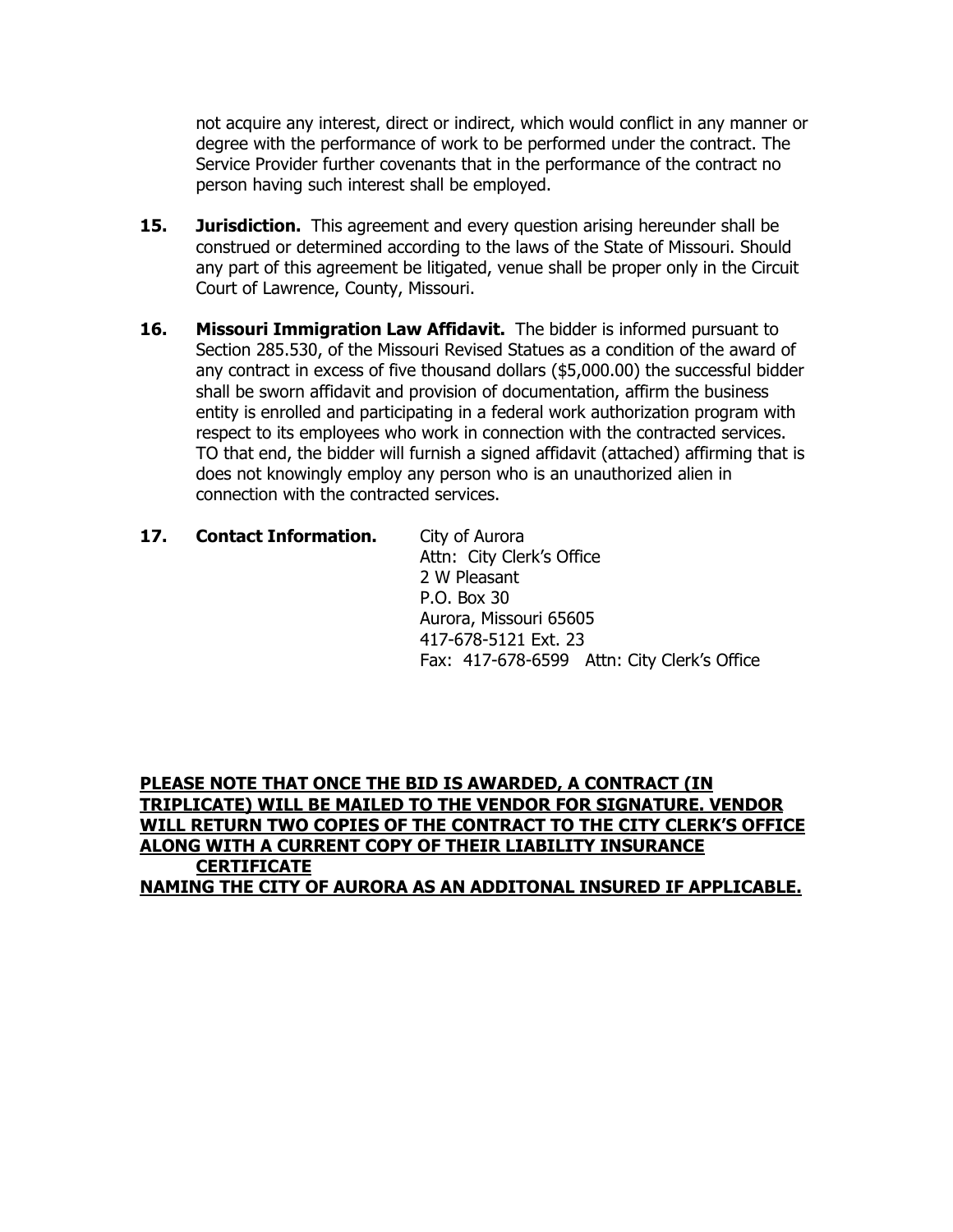not acquire any interest, direct or indirect, which would conflict in any manner or degree with the performance of work to be performed under the contract. The Service Provider further covenants that in the performance of the contract no person having such interest shall be employed.

- **15. Jurisdiction.** This agreement and every question arising hereunder shall be construed or determined according to the laws of the State of Missouri. Should any part of this agreement be litigated, venue shall be proper only in the Circuit Court of Lawrence, County, Missouri.
- **16. Missouri Immigration Law Affidavit.** The bidder is informed pursuant to Section 285.530, of the Missouri Revised Statues as a condition of the award of any contract in excess of five thousand dollars (\$5,000.00) the successful bidder shall be sworn affidavit and provision of documentation, affirm the business entity is enrolled and participating in a federal work authorization program with respect to its employees who work in connection with the contracted services. TO that end, the bidder will furnish a signed affidavit (attached) affirming that is does not knowingly employ any person who is an unauthorized alien in connection with the contracted services.
- 17. **Contact Information.** City of Aurora Attn: City Clerk's Office 2 W Pleasant P.O. Box 30 Aurora, Missouri 65605 417-678-5121 Ext. 23 Fax: 417-678-6599 Attn: City Clerk's Office

**PLEASE NOTE THAT ONCE THE BID IS AWARDED, A CONTRACT (IN TRIPLICATE) WILL BE MAILED TO THE VENDOR FOR SIGNATURE. VENDOR WILL RETURN TWO COPIES OF THE CONTRACT TO THE CITY CLERK'S OFFICE ALONG WITH A CURRENT COPY OF THEIR LIABILITY INSURANCE CERTIFICATE NAMING THE CITY OF AURORA AS AN ADDITONAL INSURED IF APPLICABLE.**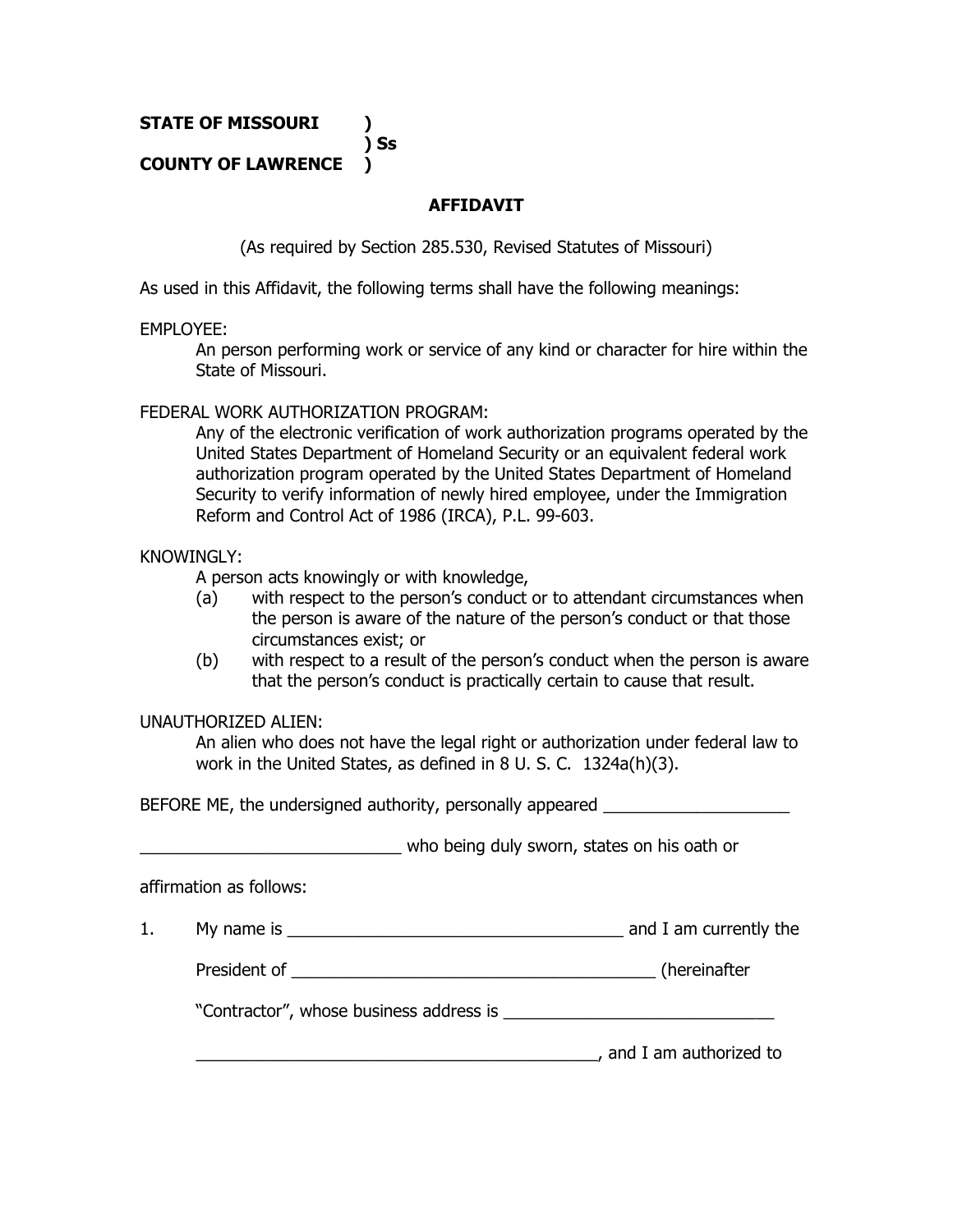**STATE OF MISSOURI )**

## **COUNTY OF LAWRENCE )**

## **AFFIDAVIT**

(As required by Section 285.530, Revised Statutes of Missouri)

As used in this Affidavit, the following terms shall have the following meanings:

**) Ss**

#### EMPLOYEE:

An person performing work or service of any kind or character for hire within the State of Missouri.

#### FEDERAL WORK AUTHORIZATION PROGRAM:

Any of the electronic verification of work authorization programs operated by the United States Department of Homeland Security or an equivalent federal work authorization program operated by the United States Department of Homeland Security to verify information of newly hired employee, under the Immigration Reform and Control Act of 1986 (IRCA), P.L. 99-603.

#### KNOWINGLY:

A person acts knowingly or with knowledge,

- (a) with respect to the person's conduct or to attendant circumstances when the person is aware of the nature of the person's conduct or that those circumstances exist; or
- (b) with respect to a result of the person's conduct when the person is aware that the person's conduct is practically certain to cause that result.

#### UNAUTHORIZED ALIEN:

An alien who does not have the legal right or authorization under federal law to work in the United States, as defined in 8 U. S. C. 1324a(h)(3).

BEFORE ME, the undersigned authority, personally appeared

who being duly sworn, states on his oath or

affirmation as follows:

1. My name is \_\_\_\_\_\_\_\_\_\_\_\_\_\_\_\_\_\_\_\_\_\_\_\_\_\_\_\_\_\_\_\_\_\_\_\_ and I am currently the

President of \_\_\_\_\_\_\_\_\_\_\_\_\_\_\_\_\_\_\_\_\_\_\_\_\_\_\_\_\_\_\_\_\_\_\_\_\_\_\_ (hereinafter

"Contractor", whose business address is

\_\_\_\_\_\_\_\_\_\_\_\_\_\_\_\_\_\_\_\_\_\_\_\_\_\_\_\_\_\_\_\_\_\_\_\_\_\_\_\_\_\_\_, and I am authorized to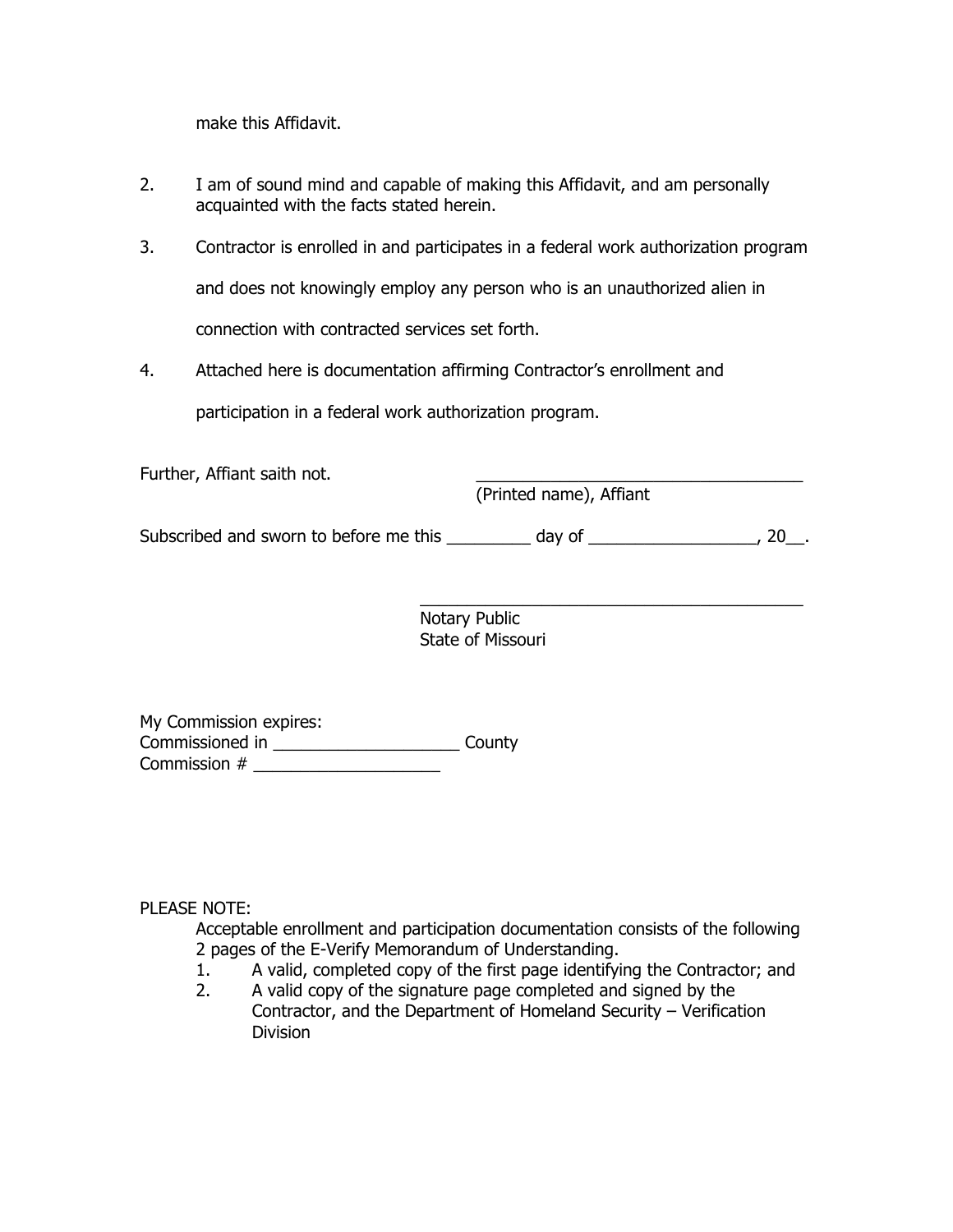make this Affidavit.

- 2. I am of sound mind and capable of making this Affidavit, and am personally acquainted with the facts stated herein.
- 3. Contractor is enrolled in and participates in a federal work authorization program and does not knowingly employ any person who is an unauthorized alien in connection with contracted services set forth.
- 4. Attached here is documentation affirming Contractor's enrollment and

participation in a federal work authorization program.

Further, Affiant saith not.

(Printed name), Affiant

Subscribed and sworn to before me this \_\_\_\_\_\_\_\_ day of \_\_\_\_\_\_\_\_\_\_\_\_\_\_\_\_\_\_\_, 20\_\_.

 $\overline{\phantom{a}}$  , and the contract of the contract of the contract of the contract of the contract of the contract of the contract of the contract of the contract of the contract of the contract of the contract of the contrac Notary Public State of Missouri

My Commission expires: Commissioned in \_\_\_\_\_\_\_\_\_\_\_\_\_\_\_\_\_\_\_\_ County Commission # \_\_\_\_\_\_\_\_\_\_\_\_\_\_\_\_\_\_\_\_

PLEASE NOTE:

Acceptable enrollment and participation documentation consists of the following 2 pages of the E-Verify Memorandum of Understanding.

- 1. A valid, completed copy of the first page identifying the Contractor; and
- 2. A valid copy of the signature page completed and signed by the Contractor, and the Department of Homeland Security – Verification Division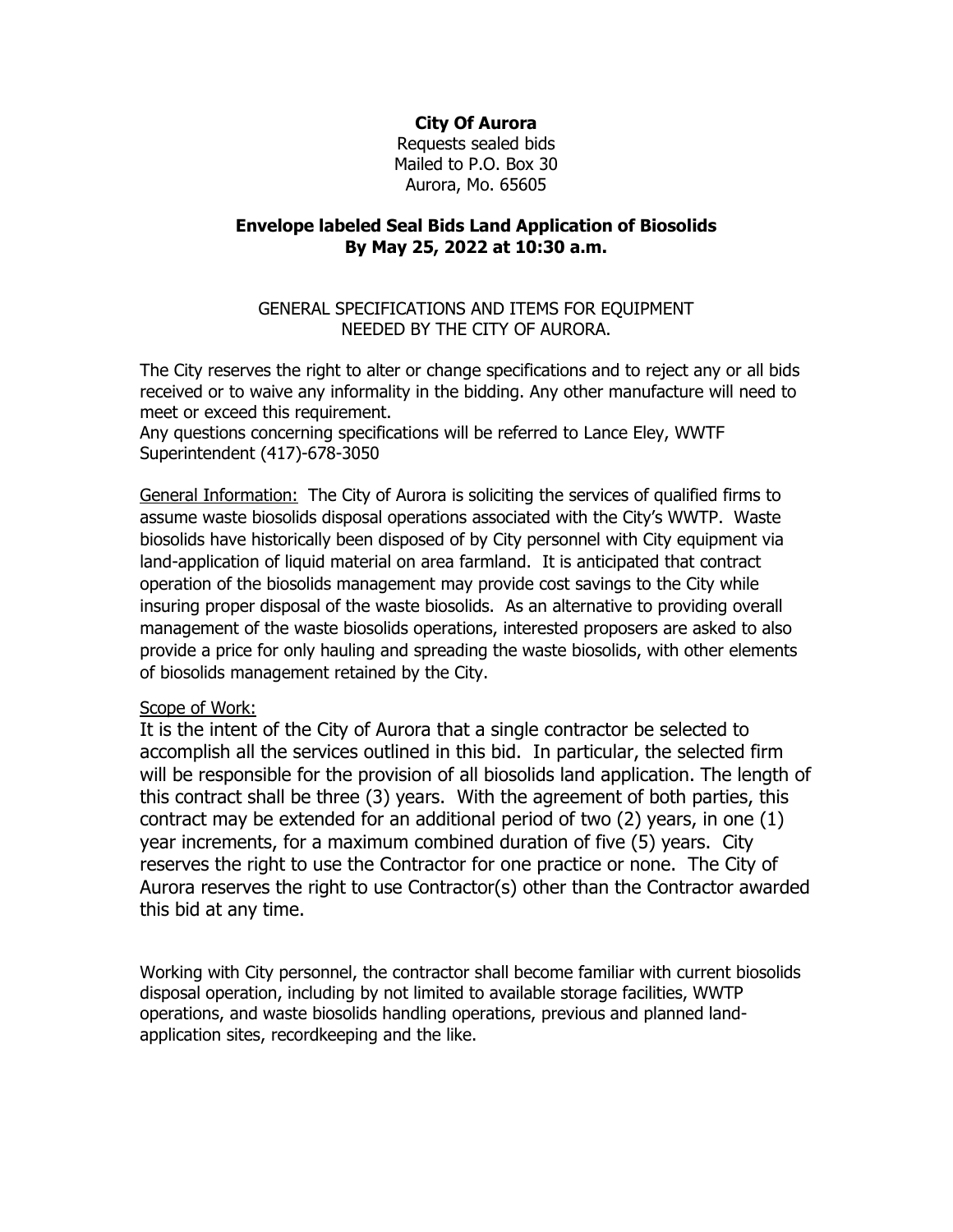**City Of Aurora**

Requests sealed bids Mailed to P.O. Box 30 Aurora, Mo. 65605

#### **Envelope labeled Seal Bids Land Application of Biosolids By May 25, 2022 at 10:30 a.m.**

#### GENERAL SPECIFICATIONS AND ITEMS FOR EQUIPMENT NEEDED BY THE CITY OF AURORA.

The City reserves the right to alter or change specifications and to reject any or all bids received or to waive any informality in the bidding. Any other manufacture will need to meet or exceed this requirement.

Any questions concerning specifications will be referred to Lance Eley, WWTF Superintendent (417)-678-3050

General Information: The City of Aurora is soliciting the services of qualified firms to assume waste biosolids disposal operations associated with the City's WWTP. Waste biosolids have historically been disposed of by City personnel with City equipment via land-application of liquid material on area farmland. It is anticipated that contract operation of the biosolids management may provide cost savings to the City while insuring proper disposal of the waste biosolids. As an alternative to providing overall management of the waste biosolids operations, interested proposers are asked to also provide a price for only hauling and spreading the waste biosolids, with other elements of biosolids management retained by the City.

#### Scope of Work:

It is the intent of the City of Aurora that a single contractor be selected to accomplish all the services outlined in this bid. In particular, the selected firm will be responsible for the provision of all biosolids land application. The length of this contract shall be three (3) years. With the agreement of both parties, this contract may be extended for an additional period of two (2) years, in one (1) year increments, for a maximum combined duration of five (5) years. City reserves the right to use the Contractor for one practice or none. The City of Aurora reserves the right to use Contractor(s) other than the Contractor awarded this bid at any time.

Working with City personnel, the contractor shall become familiar with current biosolids disposal operation, including by not limited to available storage facilities, WWTP operations, and waste biosolids handling operations, previous and planned landapplication sites, recordkeeping and the like.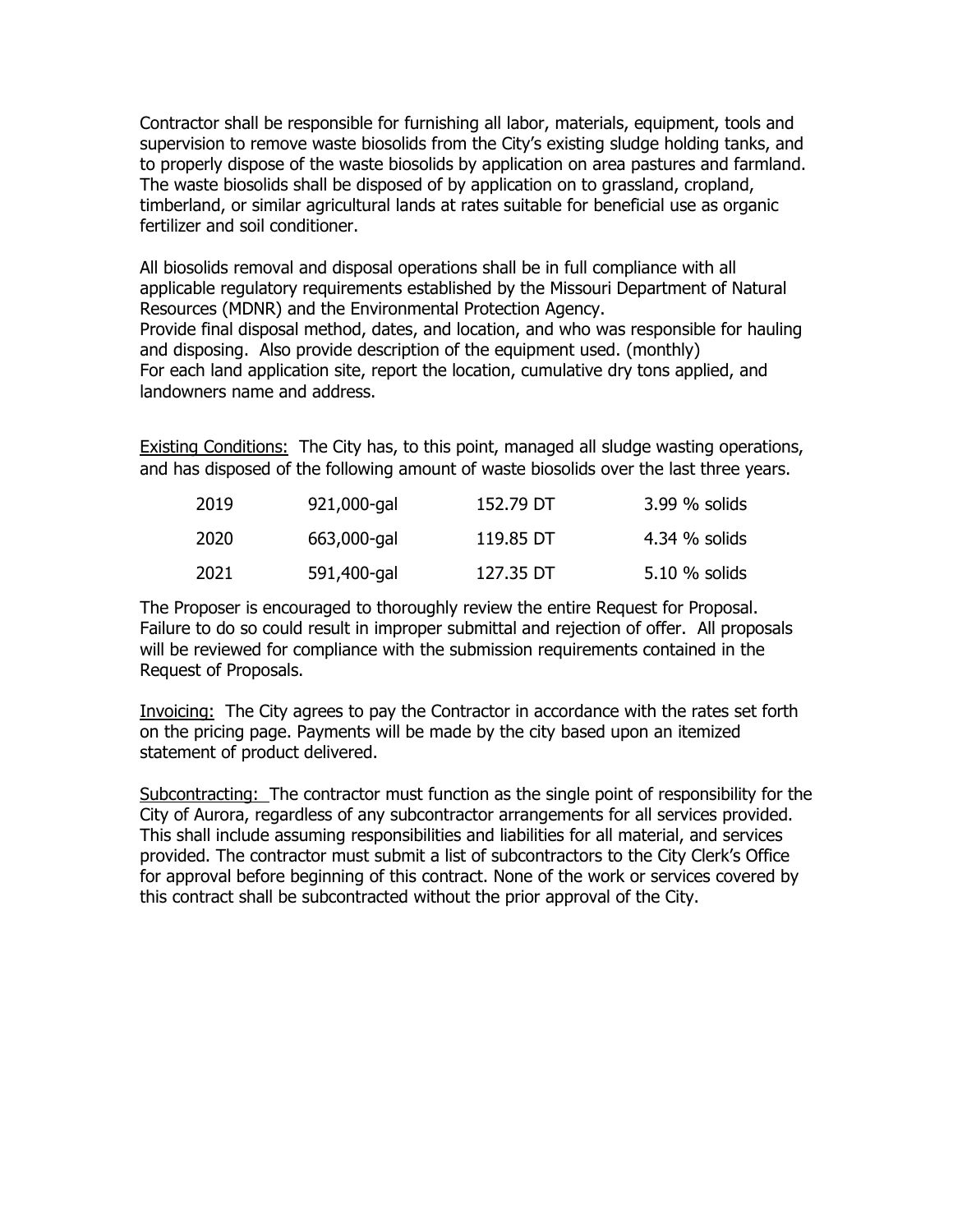Contractor shall be responsible for furnishing all labor, materials, equipment, tools and supervision to remove waste biosolids from the City's existing sludge holding tanks, and to properly dispose of the waste biosolids by application on area pastures and farmland. The waste biosolids shall be disposed of by application on to grassland, cropland, timberland, or similar agricultural lands at rates suitable for beneficial use as organic fertilizer and soil conditioner.

All biosolids removal and disposal operations shall be in full compliance with all applicable regulatory requirements established by the Missouri Department of Natural Resources (MDNR) and the Environmental Protection Agency. Provide final disposal method, dates, and location, and who was responsible for hauling and disposing. Also provide description of the equipment used. (monthly) For each land application site, report the location, cumulative dry tons applied, and landowners name and address.

Existing Conditions: The City has, to this point, managed all sludge wasting operations, and has disposed of the following amount of waste biosolids over the last three years.

| 2019 | 921,000-gal | 152.79 DT | 3.99 % solids |
|------|-------------|-----------|---------------|
| 2020 | 663,000-gal | 119.85 DT | 4.34 % solids |
| 2021 | 591,400-gal | 127.35 DT | 5.10 % solids |

The Proposer is encouraged to thoroughly review the entire Request for Proposal. Failure to do so could result in improper submittal and rejection of offer. All proposals will be reviewed for compliance with the submission requirements contained in the Request of Proposals.

Invoicing: The City agrees to pay the Contractor in accordance with the rates set forth on the pricing page. Payments will be made by the city based upon an itemized statement of product delivered.

Subcontracting: The contractor must function as the single point of responsibility for the City of Aurora, regardless of any subcontractor arrangements for all services provided. This shall include assuming responsibilities and liabilities for all material, and services provided. The contractor must submit a list of subcontractors to the City Clerk's Office for approval before beginning of this contract. None of the work or services covered by this contract shall be subcontracted without the prior approval of the City.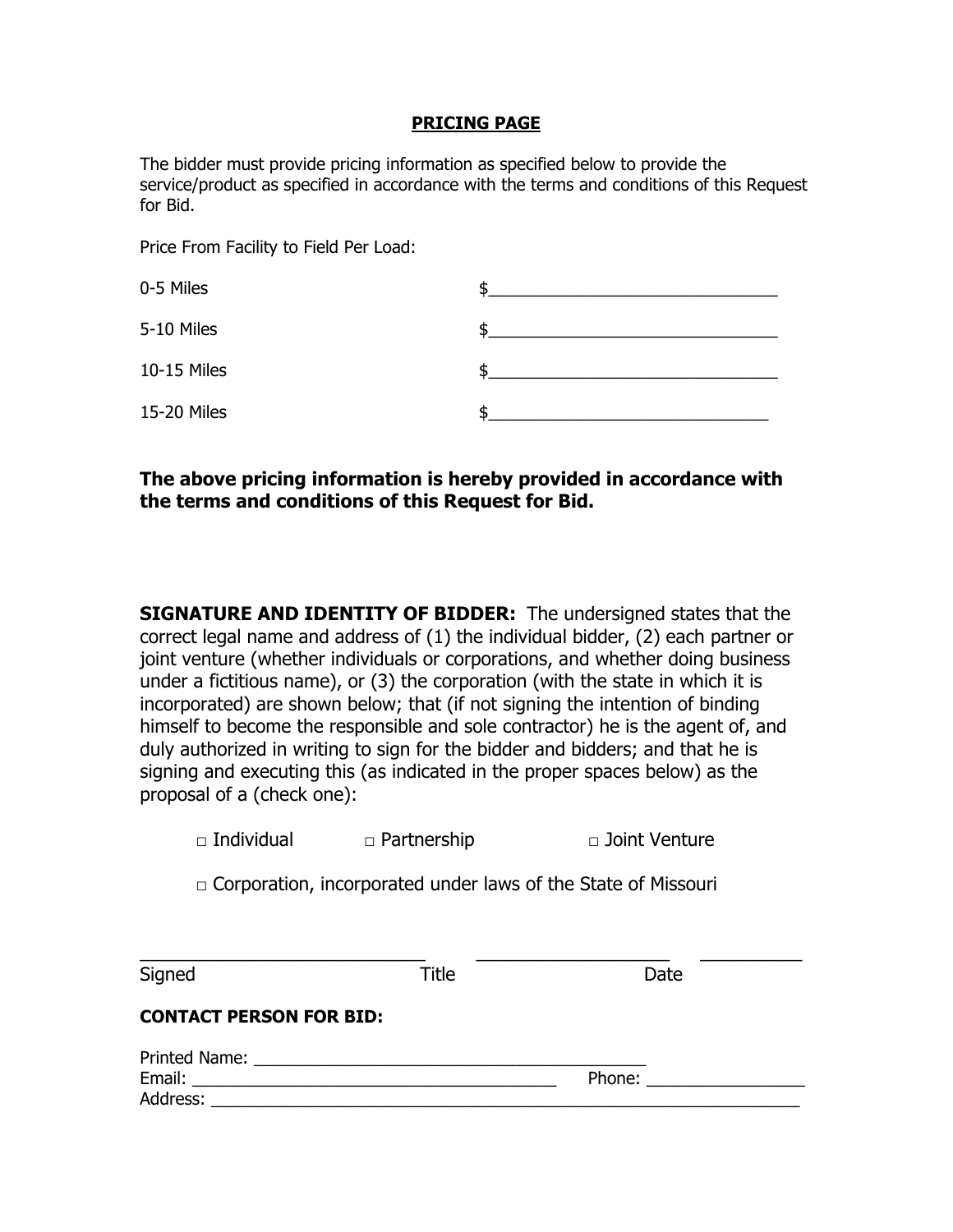#### **PRICING PAGE**

The bidder must provide pricing information as specified below to provide the service/product as specified in accordance with the terms and conditions of this Request for Bid.

Price From Facility to Field Per Load:

| 0-5 Miles   |  |
|-------------|--|
| 5-10 Miles  |  |
| 10-15 Miles |  |
| 15-20 Miles |  |

## **The above pricing information is hereby provided in accordance with the terms and conditions of this Request for Bid.**

**SIGNATURE AND IDENTITY OF BIDDER:** The undersigned states that the correct legal name and address of (1) the individual bidder, (2) each partner or joint venture (whether individuals or corporations, and whether doing business under a fictitious name), or (3) the corporation (with the state in which it is incorporated) are shown below; that (if not signing the intention of binding himself to become the responsible and sole contractor) he is the agent of, and duly authorized in writing to sign for the bidder and bidders; and that he is signing and executing this (as indicated in the proper spaces below) as the proposal of a (check one):

 $\Box$  Corporation, incorporated under laws of the State of Missouri

| Signed                                                                                                                                                                                                                              | Title | Date                                                                                                                                                                                                                           |
|-------------------------------------------------------------------------------------------------------------------------------------------------------------------------------------------------------------------------------------|-------|--------------------------------------------------------------------------------------------------------------------------------------------------------------------------------------------------------------------------------|
| <b>CONTACT PERSON FOR BID:</b>                                                                                                                                                                                                      |       |                                                                                                                                                                                                                                |
| <b>Printed Name:</b> The Contract of the Contract of the Contract of the Contract of the Contract of the Contract of the Contract of the Contract of the Contract of the Contract of the Contract of the Contract of the Contract o |       |                                                                                                                                                                                                                                |
| Email: Email: All and the state of the state of the state of the state of the state of the state of the state of the state of the state of the state of the state of the state of the state of the state of the state of the s      |       | Phone: and the state of the state of the state of the state of the state of the state of the state of the state of the state of the state of the state of the state of the state of the state of the state of the state of the |
| Address:                                                                                                                                                                                                                            |       |                                                                                                                                                                                                                                |